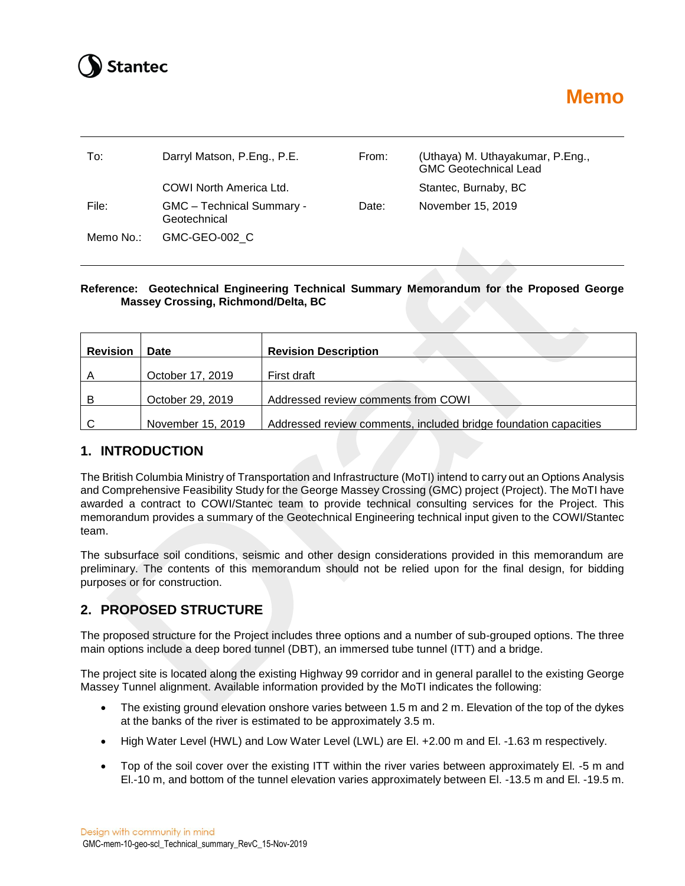# Stantec

## **Memo**

| To:       | Darryl Matson, P.Eng., P.E.                      | From: | (Uthaya) M. Uthayakumar, P.Eng.,<br><b>GMC Geotechnical Lead</b> |
|-----------|--------------------------------------------------|-------|------------------------------------------------------------------|
|           | COWI North America Ltd.                          |       | Stantec, Burnaby, BC                                             |
| File:     | <b>GMC</b> - Technical Summary -<br>Geotechnical | Date: | November 15, 2019                                                |
| Memo No.: | GMC-GEO-002 C                                    |       |                                                                  |

#### **Reference: Geotechnical Engineering Technical Summary Memorandum for the Proposed George Massey Crossing, Richmond/Delta, BC**

| <b>Revision</b> | <b>Date</b>       | <b>Revision Description</b>                                      |
|-----------------|-------------------|------------------------------------------------------------------|
|                 | October 17, 2019  | First draft                                                      |
|                 | October 29, 2019  | Addressed review comments from COWI                              |
|                 | November 15, 2019 | Addressed review comments, included bridge foundation capacities |

## **1. INTRODUCTION**

The British Columbia Ministry of Transportation and Infrastructure (MoTI) intend to carry out an Options Analysis and Comprehensive Feasibility Study for the George Massey Crossing (GMC) project (Project). The MoTI have awarded a contract to COWI/Stantec team to provide technical consulting services for the Project. This memorandum provides a summary of the Geotechnical Engineering technical input given to the COWI/Stantec team.

The subsurface soil conditions, seismic and other design considerations provided in this memorandum are preliminary. The contents of this memorandum should not be relied upon for the final design, for bidding purposes or for construction.

## **2. PROPOSED STRUCTURE**

The proposed structure for the Project includes three options and a number of sub-grouped options. The three main options include a deep bored tunnel (DBT), an immersed tube tunnel (ITT) and a bridge.

The project site is located along the existing Highway 99 corridor and in general parallel to the existing George Massey Tunnel alignment. Available information provided by the MoTI indicates the following:

- The existing ground elevation onshore varies between 1.5 m and 2 m. Elevation of the top of the dykes at the banks of the river is estimated to be approximately 3.5 m.
- High Water Level (HWL) and Low Water Level (LWL) are El. +2.00 m and El. -1.63 m respectively.
- Top of the soil cover over the existing ITT within the river varies between approximately El. -5 m and El.-10 m, and bottom of the tunnel elevation varies approximately between El. -13.5 m and El. -19.5 m.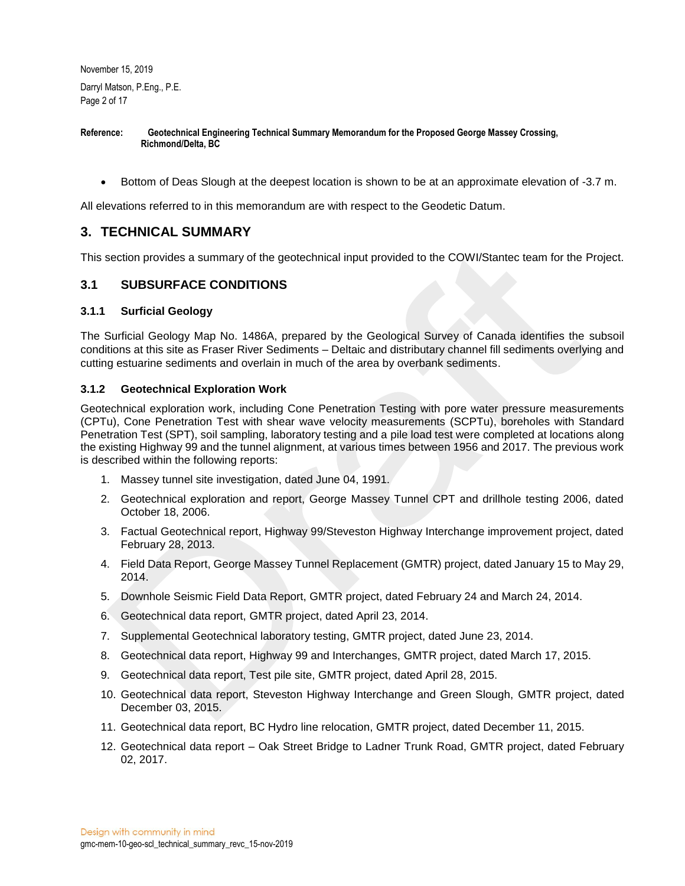November 15, 2019 Darryl Matson, P.Eng., P.E. Page 2 of 17

#### **Reference: Geotechnical Engineering Technical Summary Memorandum for the Proposed George Massey Crossing, Richmond/Delta, BC**

• Bottom of Deas Slough at the deepest location is shown to be at an approximate elevation of -3.7 m.

All elevations referred to in this memorandum are with respect to the Geodetic Datum.

### **3. TECHNICAL SUMMARY**

This section provides a summary of the geotechnical input provided to the COWI/Stantec team for the Project.

#### **3.1 SUBSURFACE CONDITIONS**

#### **3.1.1 Surficial Geology**

The Surficial Geology Map No. 1486A, prepared by the Geological Survey of Canada identifies the subsoil conditions at this site as Fraser River Sediments – Deltaic and distributary channel fill sediments overlying and cutting estuarine sediments and overlain in much of the area by overbank sediments.

#### **3.1.2 Geotechnical Exploration Work**

Geotechnical exploration work, including Cone Penetration Testing with pore water pressure measurements (CPTu), Cone Penetration Test with shear wave velocity measurements (SCPTu), boreholes with Standard Penetration Test (SPT), soil sampling, laboratory testing and a pile load test were completed at locations along the existing Highway 99 and the tunnel alignment, at various times between 1956 and 2017. The previous work is described within the following reports:

- 1. Massey tunnel site investigation, dated June 04, 1991.
- 2. Geotechnical exploration and report, George Massey Tunnel CPT and drillhole testing 2006, dated October 18, 2006.
- 3. Factual Geotechnical report, Highway 99/Steveston Highway Interchange improvement project, dated February 28, 2013.
- 4. Field Data Report, George Massey Tunnel Replacement (GMTR) project, dated January 15 to May 29, 2014.
- 5. Downhole Seismic Field Data Report, GMTR project, dated February 24 and March 24, 2014.
- 6. Geotechnical data report, GMTR project, dated April 23, 2014.
- 7. Supplemental Geotechnical laboratory testing, GMTR project, dated June 23, 2014.
- 8. Geotechnical data report, Highway 99 and Interchanges, GMTR project, dated March 17, 2015.
- 9. Geotechnical data report, Test pile site, GMTR project, dated April 28, 2015.
- 10. Geotechnical data report, Steveston Highway Interchange and Green Slough, GMTR project, dated December 03, 2015.
- 11. Geotechnical data report, BC Hydro line relocation, GMTR project, dated December 11, 2015.
- 12. Geotechnical data report Oak Street Bridge to Ladner Trunk Road, GMTR project, dated February 02, 2017.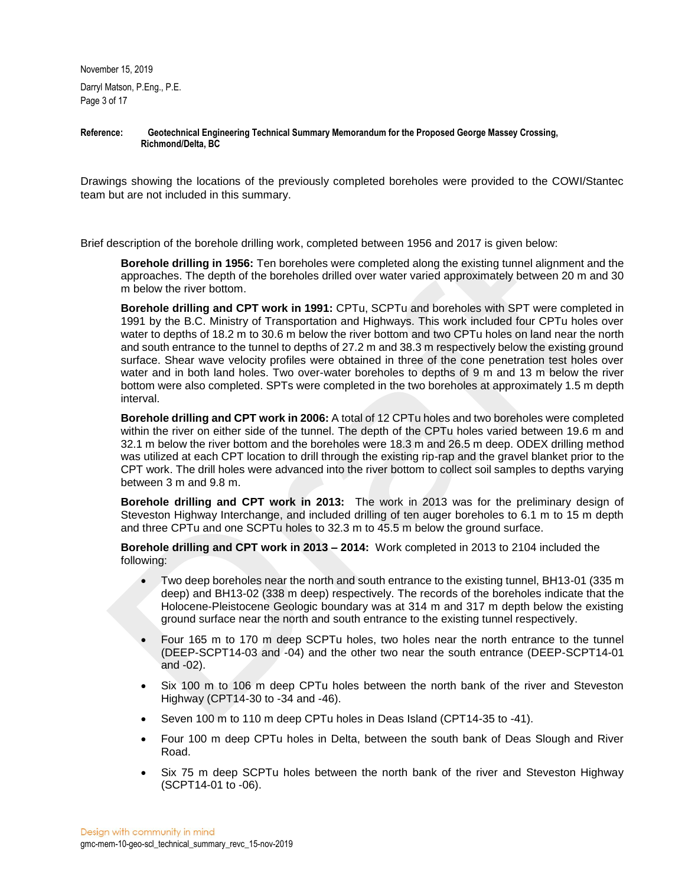November 15, 2019 Darryl Matson, P.Eng., P.E. Page 3 of 17

#### **Reference: Geotechnical Engineering Technical Summary Memorandum for the Proposed George Massey Crossing, Richmond/Delta, BC**

Drawings showing the locations of the previously completed boreholes were provided to the COWI/Stantec team but are not included in this summary.

Brief description of the borehole drilling work, completed between 1956 and 2017 is given below:

**Borehole drilling in 1956:** Ten boreholes were completed along the existing tunnel alignment and the approaches. The depth of the boreholes drilled over water varied approximately between 20 m and 30 m below the river bottom.

**Borehole drilling and CPT work in 1991:** CPTu, SCPTu and boreholes with SPT were completed in 1991 by the B.C. Ministry of Transportation and Highways. This work included four CPTu holes over water to depths of 18.2 m to 30.6 m below the river bottom and two CPTu holes on land near the north and south entrance to the tunnel to depths of 27.2 m and 38.3 m respectively below the existing ground surface. Shear wave velocity profiles were obtained in three of the cone penetration test holes over water and in both land holes. Two over-water boreholes to depths of 9 m and 13 m below the river bottom were also completed. SPTs were completed in the two boreholes at approximately 1.5 m depth interval.

**Borehole drilling and CPT work in 2006:** A total of 12 CPTu holes and two boreholes were completed within the river on either side of the tunnel. The depth of the CPTu holes varied between 19.6 m and 32.1 m below the river bottom and the boreholes were 18.3 m and 26.5 m deep. ODEX drilling method was utilized at each CPT location to drill through the existing rip-rap and the gravel blanket prior to the CPT work. The drill holes were advanced into the river bottom to collect soil samples to depths varying between 3 m and 9.8 m.

**Borehole drilling and CPT work in 2013:** The work in 2013 was for the preliminary design of Steveston Highway Interchange, and included drilling of ten auger boreholes to 6.1 m to 15 m depth and three CPTu and one SCPTu holes to 32.3 m to 45.5 m below the ground surface.

**Borehole drilling and CPT work in 2013 – 2014:** Work completed in 2013 to 2104 included the following:

- Two deep boreholes near the north and south entrance to the existing tunnel, BH13-01 (335 m deep) and BH13-02 (338 m deep) respectively. The records of the boreholes indicate that the Holocene-Pleistocene Geologic boundary was at 314 m and 317 m depth below the existing ground surface near the north and south entrance to the existing tunnel respectively.
- Four 165 m to 170 m deep SCPTu holes, two holes near the north entrance to the tunnel (DEEP-SCPT14-03 and -04) and the other two near the south entrance (DEEP-SCPT14-01 and -02).
- Six 100 m to 106 m deep CPTu holes between the north bank of the river and Steveston Highway (CPT14-30 to -34 and -46).
- Seven 100 m to 110 m deep CPTu holes in Deas Island (CPT14-35 to -41).
- Four 100 m deep CPTu holes in Delta, between the south bank of Deas Slough and River Road.
- Six 75 m deep SCPTu holes between the north bank of the river and Steveston Highway (SCPT14-01 to -06).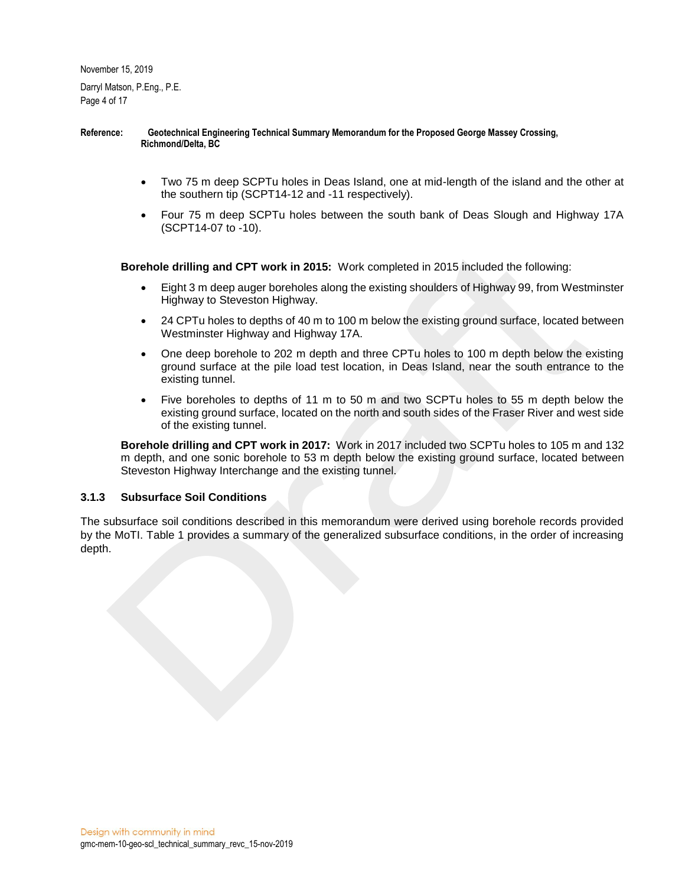November 15, 2019 Darryl Matson, P.Eng., P.E. Page 4 of 17

#### **Reference: Geotechnical Engineering Technical Summary Memorandum for the Proposed George Massey Crossing, Richmond/Delta, BC**

- Two 75 m deep SCPTu holes in Deas Island, one at mid-length of the island and the other at the southern tip (SCPT14-12 and -11 respectively).
- Four 75 m deep SCPTu holes between the south bank of Deas Slough and Highway 17A (SCPT14-07 to -10).

**Borehole drilling and CPT work in 2015:** Work completed in 2015 included the following:

- Eight 3 m deep auger boreholes along the existing shoulders of Highway 99, from Westminster Highway to Steveston Highway.
- 24 CPTu holes to depths of 40 m to 100 m below the existing ground surface, located between Westminster Highway and Highway 17A.
- One deep borehole to 202 m depth and three CPTu holes to 100 m depth below the existing ground surface at the pile load test location, in Deas Island, near the south entrance to the existing tunnel.
- Five boreholes to depths of 11 m to 50 m and two SCPTu holes to 55 m depth below the existing ground surface, located on the north and south sides of the Fraser River and west side of the existing tunnel.

**Borehole drilling and CPT work in 2017:** Work in 2017 included two SCPTu holes to 105 m and 132 m depth, and one sonic borehole to 53 m depth below the existing ground surface, located between Steveston Highway Interchange and the existing tunnel.

#### **3.1.3 Subsurface Soil Conditions**

The subsurface soil conditions described in this memorandum were derived using borehole records provided by the MoTI. Table 1 provides a summary of the generalized subsurface conditions, in the order of increasing depth.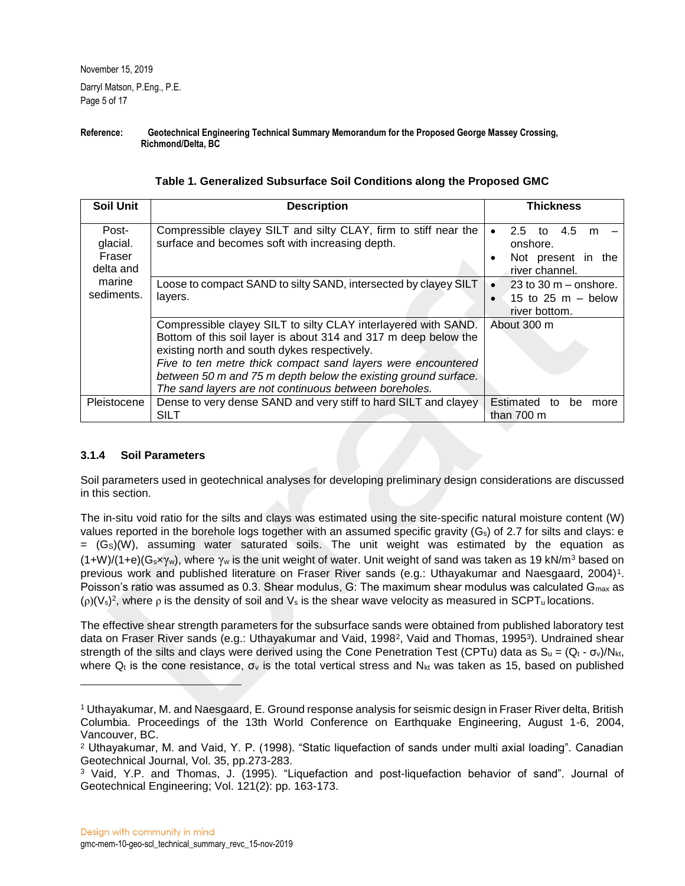November 15, 2019 Darryl Matson, P.Eng., P.E. Page 5 of 17

#### **Reference: Geotechnical Engineering Technical Summary Memorandum for the Proposed George Massey Crossing, Richmond/Delta, BC**

|  | Table 1. Generalized Subsurface Soil Conditions along the Proposed GMC |  |  |  |
|--|------------------------------------------------------------------------|--|--|--|
|  |                                                                        |  |  |  |

| <b>Soil Unit</b>                         | <b>Description</b>                                                                                                                                                                                                                                                                                                                                                           | <b>Thickness</b>                                                          |  |  |
|------------------------------------------|------------------------------------------------------------------------------------------------------------------------------------------------------------------------------------------------------------------------------------------------------------------------------------------------------------------------------------------------------------------------------|---------------------------------------------------------------------------|--|--|
| Post-<br>glacial.<br>Fraser<br>delta and | Compressible clayey SILT and silty CLAY, firm to stiff near the<br>surface and becomes soft with increasing depth.                                                                                                                                                                                                                                                           | -4.5<br>$2.5$ to<br>m<br>onshore.<br>Not present in the<br>river channel. |  |  |
| marine<br>sediments.                     | Loose to compact SAND to silty SAND, intersected by clayey SILT<br>layers.                                                                                                                                                                                                                                                                                                   | 23 to 30 $m$ – onshore.<br>15 to 25 $m -$ below<br>river bottom.          |  |  |
|                                          | Compressible clayey SILT to silty CLAY interlayered with SAND.<br>Bottom of this soil layer is about 314 and 317 m deep below the<br>existing north and south dykes respectively.<br>Five to ten metre thick compact sand layers were encountered<br>between 50 m and 75 m depth below the existing ground surface.<br>The sand layers are not continuous between boreholes. | About 300 m                                                               |  |  |
| Pleistocene                              | Dense to very dense SAND and very stiff to hard SILT and clayey<br><b>SILT</b>                                                                                                                                                                                                                                                                                               | Estimated<br>to<br>be<br>more<br>than $700 \text{ m}$                     |  |  |

#### **3.1.4 Soil Parameters**

l

Soil parameters used in geotechnical analyses for developing preliminary design considerations are discussed in this section.

The in-situ void ratio for the silts and clays was estimated using the site-specific natural moisture content (W) values reported in the borehole logs together with an assumed specific gravity  $(G_s)$  of 2.7 for silts and clays: e  $=$   $(G<sub>s</sub>)(W)$ , assuming water saturated soils. The unit weight was estimated by the equation as (1+W)/(1+e)(Gs×γw), where γ<sup>w</sup> is the unit weight of water. Unit weight of sand was taken as 19 kN/m<sup>3</sup> based on previous work and published literature on Fraser River sands (e.g.: Uthayakumar and Naesgaard, 2004)<sup>1</sup>. Poisson's ratio was assumed as 0.3. Shear modulus, G: The maximum shear modulus was calculated G<sub>max</sub> as  $(\rho)(V_s)^2$ , where  $\rho$  is the density of soil and  $V_s$  is the shear wave velocity as measured in SCPT<sub>u</sub> locations.

The effective shear strength parameters for the subsurface sands were obtained from published laboratory test data on Fraser River sands (e.g.: Uthayakumar and Vaid, 1998<sup>2</sup>, Vaid and Thomas, 1995<sup>3</sup>). Undrained shear strength of the silts and clays were derived using the Cone Penetration Test (CPTu) data as  $S_u = (Q_t - \sigma_v)/N_{kt}$ , where  $Q_t$  is the cone resistance,  $\sigma_v$  is the total vertical stress and N<sub>kt</sub> was taken as 15, based on published

<sup>1</sup> Uthayakumar, M. and Naesgaard, E. Ground response analysis for seismic design in Fraser River delta, British Columbia. Proceedings of the 13th World Conference on Earthquake Engineering, August 1-6, 2004, Vancouver, BC.

<sup>2</sup> Uthayakumar, M. and Vaid, Y. P. (1998). "Static liquefaction of sands under multi axial loading". Canadian Geotechnical Journal, Vol. 35, pp.273-283.

<sup>3</sup> Vaid, Y.P. and Thomas, J. (1995). "Liquefaction and post-liquefaction behavior of sand". Journal of Geotechnical Engineering; Vol. 121(2): pp. 163-173.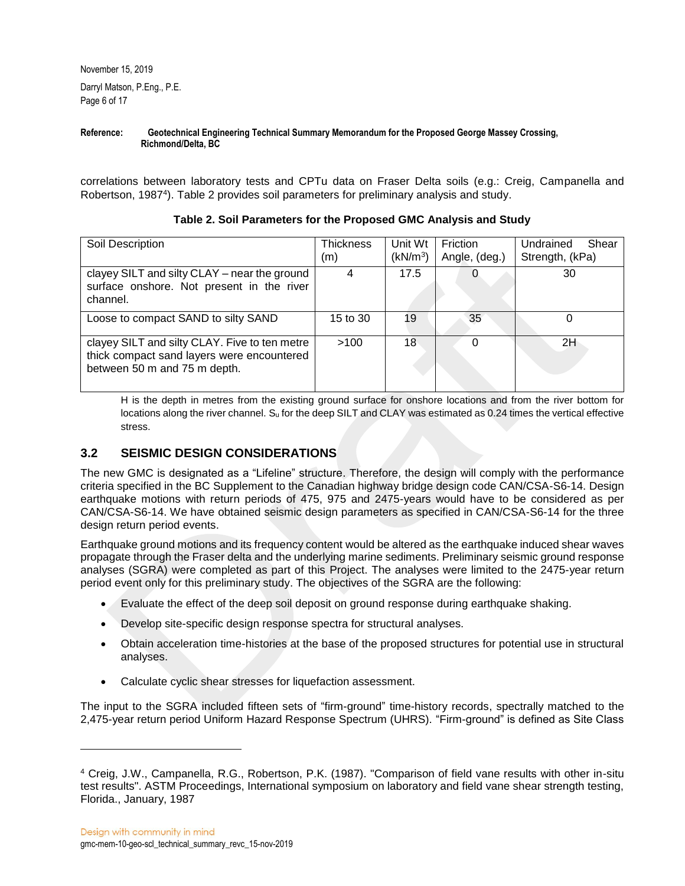November 15, 2019 Darryl Matson, P.Eng., P.E. Page 6 of 17

#### **Reference: Geotechnical Engineering Technical Summary Memorandum for the Proposed George Massey Crossing, Richmond/Delta, BC**

correlations between laboratory tests and CPTu data on Fraser Delta soils (e.g.: Creig, Campanella and Robertson, 1987<sup>4</sup> ). Table 2 provides soil parameters for preliminary analysis and study.

| Soil Description                                                                                                            | <b>Thickness</b><br>(m) | Unit Wt<br>(kN/m <sup>3</sup> ) | Friction<br>Angle, (deg.) | Undrained<br>Shear<br>Strength, (kPa) |
|-----------------------------------------------------------------------------------------------------------------------------|-------------------------|---------------------------------|---------------------------|---------------------------------------|
| clayey SILT and silty CLAY - near the ground<br>surface onshore. Not present in the river<br>channel.                       |                         | 17.5                            | O                         | 30                                    |
| Loose to compact SAND to silty SAND                                                                                         | 15 to 30                | 19                              | 35                        |                                       |
| clayey SILT and silty CLAY. Five to ten metre<br>thick compact sand layers were encountered<br>between 50 m and 75 m depth. | >100                    | 18                              | 0                         | 2H                                    |

#### **Table 2. Soil Parameters for the Proposed GMC Analysis and Study**

H is the depth in metres from the existing ground surface for onshore locations and from the river bottom for locations along the river channel. S<sup>u</sup> for the deep SILT and CLAY was estimated as 0.24 times the vertical effective stress.

## **3.2 SEISMIC DESIGN CONSIDERATIONS**

The new GMC is designated as a "Lifeline" structure. Therefore, the design will comply with the performance criteria specified in the BC Supplement to the Canadian highway bridge design code CAN/CSA-S6-14. Design earthquake motions with return periods of 475, 975 and 2475-years would have to be considered as per CAN/CSA-S6-14. We have obtained seismic design parameters as specified in CAN/CSA-S6-14 for the three design return period events.

Earthquake ground motions and its frequency content would be altered as the earthquake induced shear waves propagate through the Fraser delta and the underlying marine sediments. Preliminary seismic ground response analyses (SGRA) were completed as part of this Project. The analyses were limited to the 2475-year return period event only for this preliminary study. The objectives of the SGRA are the following:

- Evaluate the effect of the deep soil deposit on ground response during earthquake shaking.
- Develop site-specific design response spectra for structural analyses.
- Obtain acceleration time-histories at the base of the proposed structures for potential use in structural analyses.
- Calculate cyclic shear stresses for liquefaction assessment.

The input to the SGRA included fifteen sets of "firm-ground" time-history records, spectrally matched to the 2,475-year return period Uniform Hazard Response Spectrum (UHRS). "Firm-ground" is defined as Site Class

l

<sup>4</sup> Creig, J.W., Campanella, R.G., Robertson, P.K. (1987). "Comparison of field vane results with other in-situ test results". ASTM Proceedings, International symposium on laboratory and field vane shear strength testing, Florida., January, 1987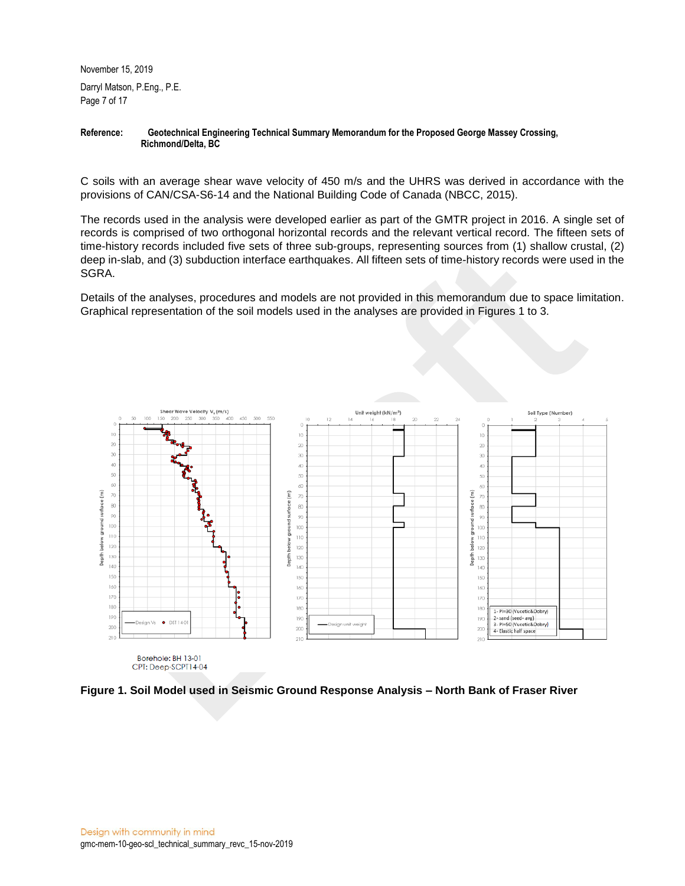November 15, 2019 Darryl Matson, P.Eng., P.E. Page 7 of 17

#### **Reference: Geotechnical Engineering Technical Summary Memorandum for the Proposed George Massey Crossing, Richmond/Delta, BC**

C soils with an average shear wave velocity of 450 m/s and the UHRS was derived in accordance with the provisions of CAN/CSA-S6-14 and the National Building Code of Canada (NBCC, 2015).

The records used in the analysis were developed earlier as part of the GMTR project in 2016. A single set of records is comprised of two orthogonal horizontal records and the relevant vertical record. The fifteen sets of time-history records included five sets of three sub-groups, representing sources from (1) shallow crustal, (2) deep in-slab, and (3) subduction interface earthquakes. All fifteen sets of time-history records were used in the SGRA.

Details of the analyses, procedures and models are not provided in this memorandum due to space limitation. Graphical representation of the soil models used in the analyses are provided in Figures 1 to 3.



**Figure 1. Soil Model used in Seismic Ground Response Analysis – North Bank of Fraser River**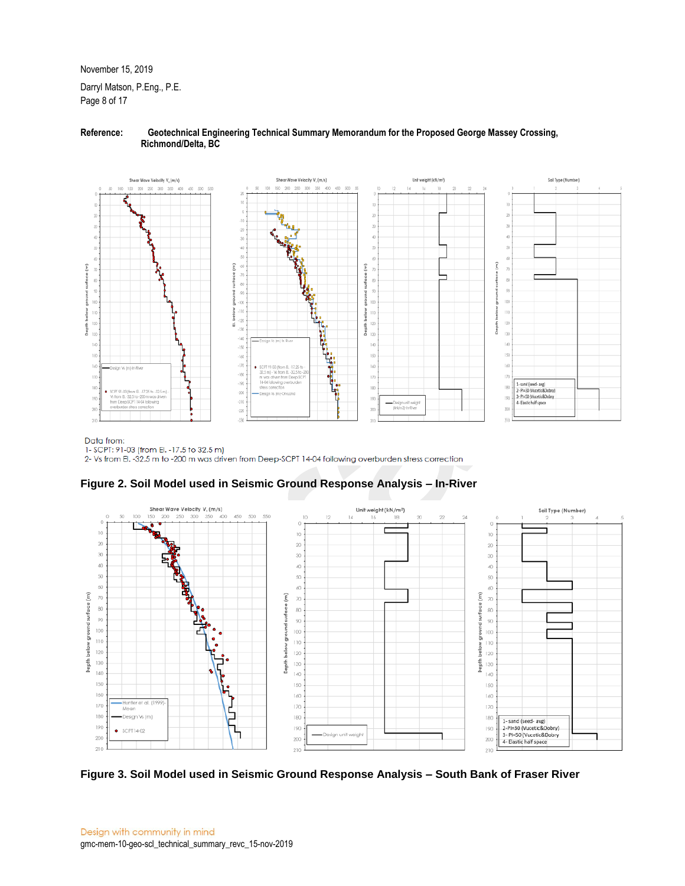November 15, 2019

Darryl Matson, P.Eng., P.E. Page 8 of 17



#### **Reference: Geotechnical Engineering Technical Summary Memorandum for the Proposed George Massey Crossing, Richmond/Delta, BC**

Data from:

1- SCPT: 91-03 (from El. -17.5 to 32.5 m)

2- Vs from El. -32.5 m to -200 m was driven from Deep-SCPT 14-04 following overburden stress correction

#### **Figure 2. Soil Model used in Seismic Ground Response Analysis – In-River**



**Figure 3. Soil Model used in Seismic Ground Response Analysis – South Bank of Fraser River**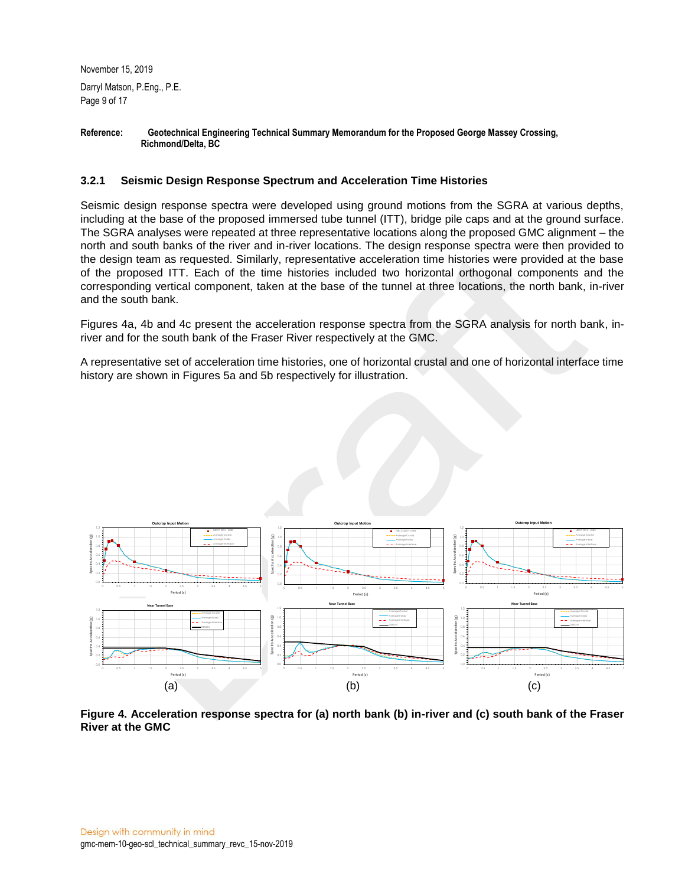November 15, 2019 Darryl Matson, P.Eng., P.E. Page 9 of 17

**Reference: Geotechnical Engineering Technical Summary Memorandum for the Proposed George Massey Crossing, Richmond/Delta, BC**

#### **3.2.1 Seismic Design Response Spectrum and Acceleration Time Histories**

Seismic design response spectra were developed using ground motions from the SGRA at various depths, including at the base of the proposed immersed tube tunnel (ITT), bridge pile caps and at the ground surface. The SGRA analyses were repeated at three representative locations along the proposed GMC alignment – the north and south banks of the river and in-river locations. The design response spectra were then provided to the design team as requested. Similarly, representative acceleration time histories were provided at the base of the proposed ITT. Each of the time histories included two horizontal orthogonal components and the corresponding vertical component, taken at the base of the tunnel at three locations, the north bank, in-river and the south bank.

Figures 4a, 4b and 4c present the acceleration response spectra from the SGRA analysis for north bank, inriver and for the south bank of the Fraser River respectively at the GMC.

A representative set of acceleration time histories, one of horizontal crustal and one of horizontal interface time history are shown in Figures 5a and 5b respectively for illustration.



**Figure 4. Acceleration response spectra for (a) north bank (b) in-river and (c) south bank of the Fraser River at the GMC**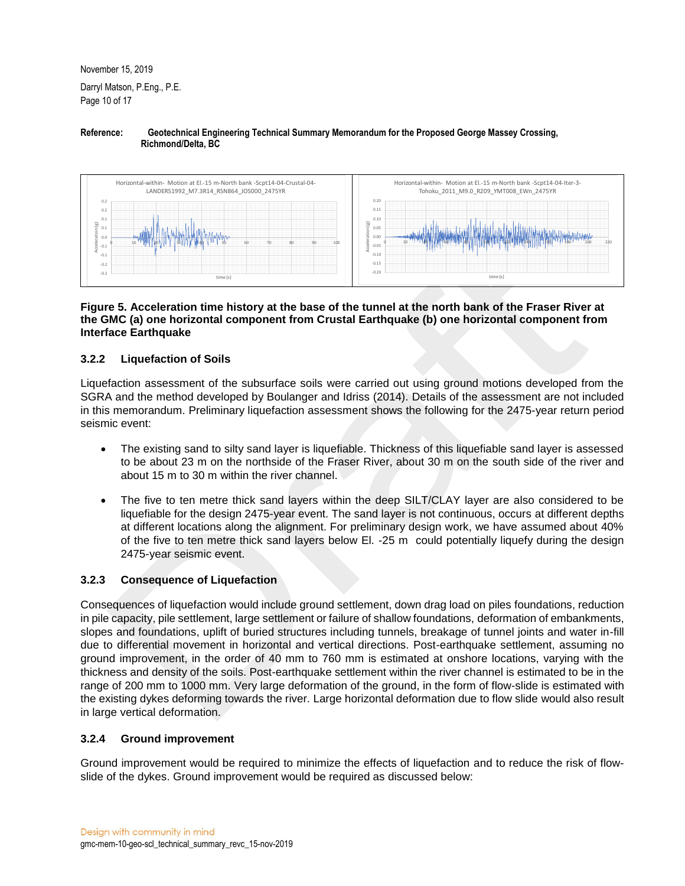November 15, 2019 Darryl Matson, P.Eng., P.E. Page 10 of 17

#### **Reference: Geotechnical Engineering Technical Summary Memorandum for the Proposed George Massey Crossing, Richmond/Delta, BC**



#### **Figure 5. Acceleration time history at the base of the tunnel at the north bank of the Fraser River at the GMC (a) one horizontal component from Crustal Earthquake (b) one horizontal component from Interface Earthquake**

#### **3.2.2 Liquefaction of Soils**

Liquefaction assessment of the subsurface soils were carried out using ground motions developed from the SGRA and the method developed by Boulanger and Idriss (2014). Details of the assessment are not included in this memorandum. Preliminary liquefaction assessment shows the following for the 2475-year return period seismic event:

- The existing sand to silty sand layer is liquefiable. Thickness of this liquefiable sand layer is assessed to be about 23 m on the northside of the Fraser River, about 30 m on the south side of the river and about 15 m to 30 m within the river channel.
- The five to ten metre thick sand layers within the deep SILT/CLAY layer are also considered to be liquefiable for the design 2475-year event. The sand layer is not continuous, occurs at different depths at different locations along the alignment. For preliminary design work, we have assumed about 40% of the five to ten metre thick sand layers below El. -25 m could potentially liquefy during the design 2475-year seismic event.

#### **3.2.3 Consequence of Liquefaction**

Consequences of liquefaction would include ground settlement, down drag load on piles foundations, reduction in pile capacity, pile settlement, large settlement or failure of shallow foundations, deformation of embankments, slopes and foundations, uplift of buried structures including tunnels, breakage of tunnel joints and water in-fill due to differential movement in horizontal and vertical directions. Post-earthquake settlement, assuming no ground improvement, in the order of 40 mm to 760 mm is estimated at onshore locations, varying with the thickness and density of the soils. Post-earthquake settlement within the river channel is estimated to be in the range of 200 mm to 1000 mm. Very large deformation of the ground, in the form of flow-slide is estimated with the existing dykes deforming towards the river. Large horizontal deformation due to flow slide would also result in large vertical deformation.

#### **3.2.4 Ground improvement**

Ground improvement would be required to minimize the effects of liquefaction and to reduce the risk of flowslide of the dykes. Ground improvement would be required as discussed below: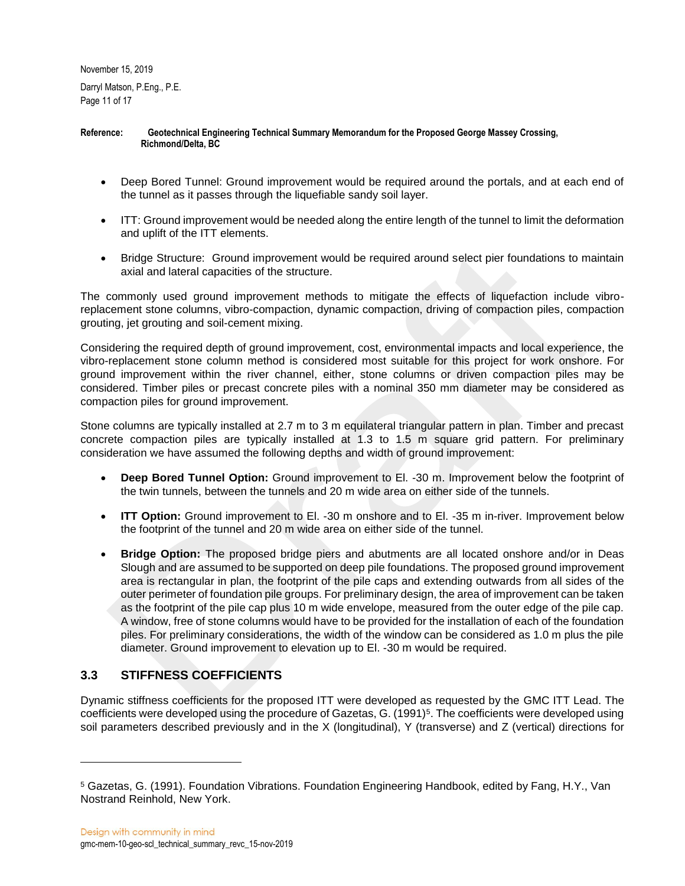November 15, 2019 Darryl Matson, P.Eng., P.E. Page 11 of 17

#### **Reference: Geotechnical Engineering Technical Summary Memorandum for the Proposed George Massey Crossing, Richmond/Delta, BC**

- Deep Bored Tunnel: Ground improvement would be required around the portals, and at each end of the tunnel as it passes through the liquefiable sandy soil layer.
- ITT: Ground improvement would be needed along the entire length of the tunnel to limit the deformation and uplift of the ITT elements.
- Bridge Structure: Ground improvement would be required around select pier foundations to maintain axial and lateral capacities of the structure.

The commonly used ground improvement methods to mitigate the effects of liquefaction include vibroreplacement stone columns, vibro-compaction, dynamic compaction, driving of compaction piles, compaction grouting, jet grouting and soil-cement mixing.

Considering the required depth of ground improvement, cost, environmental impacts and local experience, the vibro-replacement stone column method is considered most suitable for this project for work onshore. For ground improvement within the river channel, either, stone columns or driven compaction piles may be considered. Timber piles or precast concrete piles with a nominal 350 mm diameter may be considered as compaction piles for ground improvement.

Stone columns are typically installed at 2.7 m to 3 m equilateral triangular pattern in plan. Timber and precast concrete compaction piles are typically installed at 1.3 to 1.5 m square grid pattern. For preliminary consideration we have assumed the following depths and width of ground improvement:

- **Deep Bored Tunnel Option:** Ground improvement to El. -30 m. Improvement below the footprint of the twin tunnels, between the tunnels and 20 m wide area on either side of the tunnels.
- **ITT Option:** Ground improvement to El. -30 m onshore and to El. -35 m in-river. Improvement below the footprint of the tunnel and 20 m wide area on either side of the tunnel.
- **Bridge Option:** The proposed bridge piers and abutments are all located onshore and/or in Deas Slough and are assumed to be supported on deep pile foundations. The proposed ground improvement area is rectangular in plan, the footprint of the pile caps and extending outwards from all sides of the outer perimeter of foundation pile groups. For preliminary design, the area of improvement can be taken as the footprint of the pile cap plus 10 m wide envelope, measured from the outer edge of the pile cap. A window, free of stone columns would have to be provided for the installation of each of the foundation piles. For preliminary considerations, the width of the window can be considered as 1.0 m plus the pile diameter. Ground improvement to elevation up to El. -30 m would be required.

## **3.3 STIFFNESS COEFFICIENTS**

l

Dynamic stiffness coefficients for the proposed ITT were developed as requested by the GMC ITT Lead. The coefficients were developed using the procedure of Gazetas, G. (1991)<sup>5</sup>. The coefficients were developed using soil parameters described previously and in the X (longitudinal), Y (transverse) and Z (vertical) directions for

<sup>5</sup> Gazetas, G. (1991). Foundation Vibrations. Foundation Engineering Handbook, edited by Fang, H.Y., Van Nostrand Reinhold, New York.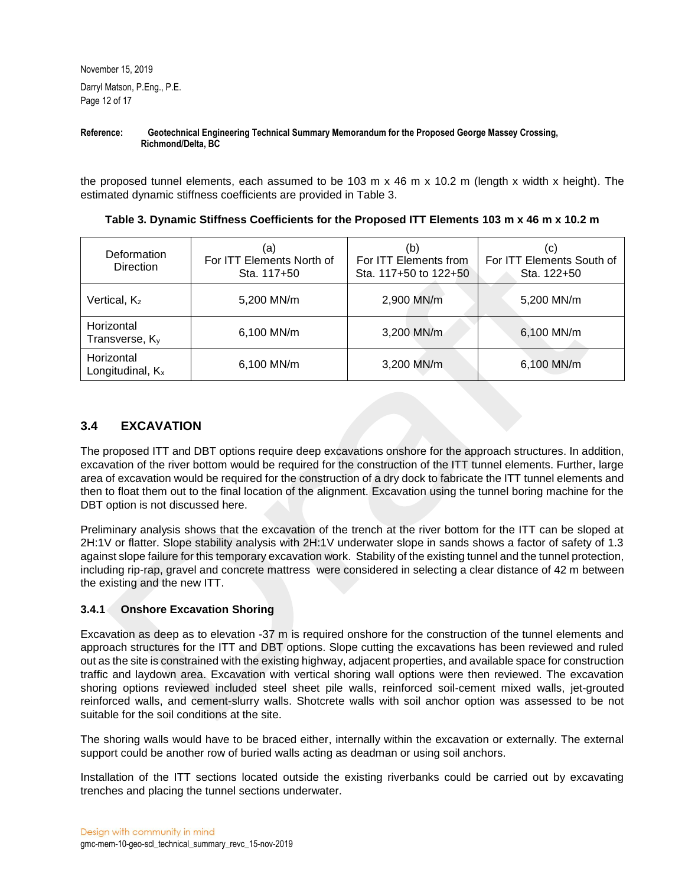November 15, 2019 Darryl Matson, P.Eng., P.E. Page 12 of 17

#### **Reference: Geotechnical Engineering Technical Summary Memorandum for the Proposed George Massey Crossing, Richmond/Delta, BC**

the proposed tunnel elements, each assumed to be 103 m  $\times$  46 m  $\times$  10.2 m (length  $\times$  width  $\times$  height). The estimated dynamic stiffness coefficients are provided in Table 3.

| (a)<br>Deformation<br>For ITT Elements North of<br><b>Direction</b><br>Sta. 117+50 |            | (b)<br>For ITT Elements from<br>Sta. 117+50 to 122+50 | (c)<br>For ITT Elements South of<br>Sta. 122+50 |  |  |
|------------------------------------------------------------------------------------|------------|-------------------------------------------------------|-------------------------------------------------|--|--|
| Vertical, Kz                                                                       | 5,200 MN/m | 2,900 MN/m                                            | 5,200 MN/m                                      |  |  |
| Horizontal<br>Transverse, K <sub>y</sub>                                           | 6,100 MN/m | 3,200 MN/m                                            | 6,100 MN/m                                      |  |  |
| Horizontal<br>Longitudinal, $K_x$                                                  | 6,100 MN/m | 3,200 MN/m                                            | 6,100 MN/m                                      |  |  |

**Table 3. Dynamic Stiffness Coefficients for the Proposed ITT Elements 103 m x 46 m x 10.2 m**

## **3.4 EXCAVATION**

The proposed ITT and DBT options require deep excavations onshore for the approach structures. In addition, excavation of the river bottom would be required for the construction of the ITT tunnel elements. Further, large area of excavation would be required for the construction of a dry dock to fabricate the ITT tunnel elements and then to float them out to the final location of the alignment. Excavation using the tunnel boring machine for the DBT option is not discussed here.

Preliminary analysis shows that the excavation of the trench at the river bottom for the ITT can be sloped at 2H:1V or flatter. Slope stability analysis with 2H:1V underwater slope in sands shows a factor of safety of 1.3 against slope failure for this temporary excavation work. Stability of the existing tunnel and the tunnel protection, including rip-rap, gravel and concrete mattress were considered in selecting a clear distance of 42 m between the existing and the new ITT.

#### **3.4.1 Onshore Excavation Shoring**

Excavation as deep as to elevation -37 m is required onshore for the construction of the tunnel elements and approach structures for the ITT and DBT options. Slope cutting the excavations has been reviewed and ruled out as the site is constrained with the existing highway, adjacent properties, and available space for construction traffic and laydown area. Excavation with vertical shoring wall options were then reviewed. The excavation shoring options reviewed included steel sheet pile walls, reinforced soil-cement mixed walls, jet-grouted reinforced walls, and cement-slurry walls. Shotcrete walls with soil anchor option was assessed to be not suitable for the soil conditions at the site.

The shoring walls would have to be braced either, internally within the excavation or externally. The external support could be another row of buried walls acting as deadman or using soil anchors.

Installation of the ITT sections located outside the existing riverbanks could be carried out by excavating trenches and placing the tunnel sections underwater.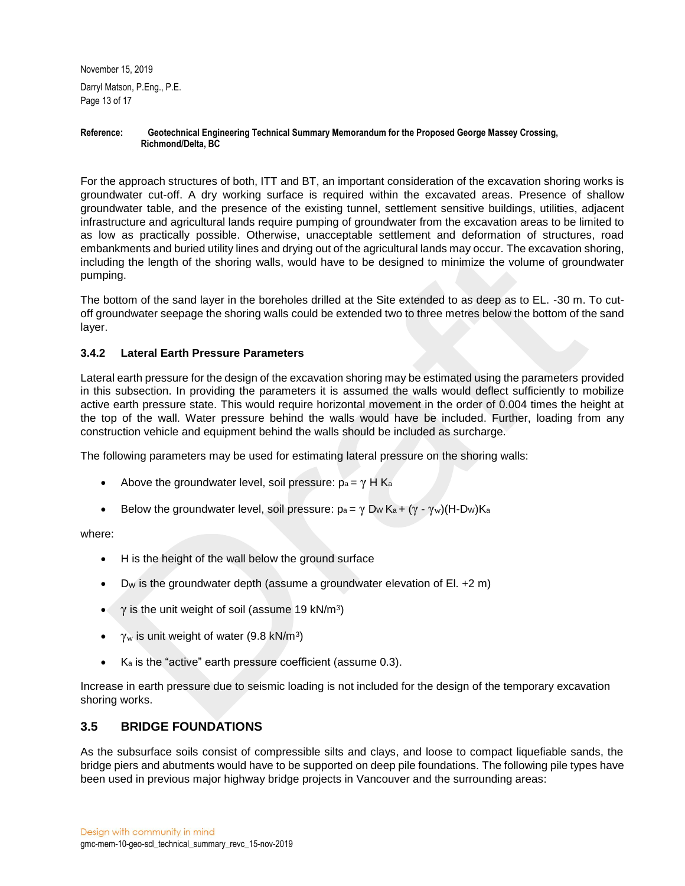November 15, 2019 Darryl Matson, P.Eng., P.E. Page 13 of 17

#### **Reference: Geotechnical Engineering Technical Summary Memorandum for the Proposed George Massey Crossing, Richmond/Delta, BC**

For the approach structures of both, ITT and BT, an important consideration of the excavation shoring works is groundwater cut-off. A dry working surface is required within the excavated areas. Presence of shallow groundwater table, and the presence of the existing tunnel, settlement sensitive buildings, utilities, adjacent infrastructure and agricultural lands require pumping of groundwater from the excavation areas to be limited to as low as practically possible. Otherwise, unacceptable settlement and deformation of structures, road embankments and buried utility lines and drying out of the agricultural lands may occur. The excavation shoring, including the length of the shoring walls, would have to be designed to minimize the volume of groundwater pumping.

The bottom of the sand layer in the boreholes drilled at the Site extended to as deep as to EL. -30 m. To cutoff groundwater seepage the shoring walls could be extended two to three metres below the bottom of the sand layer.

#### **3.4.2 Lateral Earth Pressure Parameters**

Lateral earth pressure for the design of the excavation shoring may be estimated using the parameters provided in this subsection. In providing the parameters it is assumed the walls would deflect sufficiently to mobilize active earth pressure state. This would require horizontal movement in the order of 0.004 times the height at the top of the wall. Water pressure behind the walls would have be included. Further, loading from any construction vehicle and equipment behind the walls should be included as surcharge.

The following parameters may be used for estimating lateral pressure on the shoring walls:

- Above the groundwater level, soil pressure:  $p_a = \gamma H K_a$
- Below the groundwater level, soil pressure:  $p_a = \gamma D_w K_a + (\gamma \gamma_w)(H D_w)K_a$

where:

- H is the height of the wall below the ground surface
- Dw is the groundwater depth (assume a groundwater elevation of El. +2 m)
- $\gamma$  is the unit weight of soil (assume 19 kN/m<sup>3</sup>)
- $\gamma_w$  is unit weight of water (9.8 kN/m<sup>3</sup>)
- $K_a$  is the "active" earth pressure coefficient (assume 0.3).

Increase in earth pressure due to seismic loading is not included for the design of the temporary excavation shoring works.

#### **3.5 BRIDGE FOUNDATIONS**

As the subsurface soils consist of compressible silts and clays, and loose to compact liquefiable sands, the bridge piers and abutments would have to be supported on deep pile foundations. The following pile types have been used in previous major highway bridge projects in Vancouver and the surrounding areas: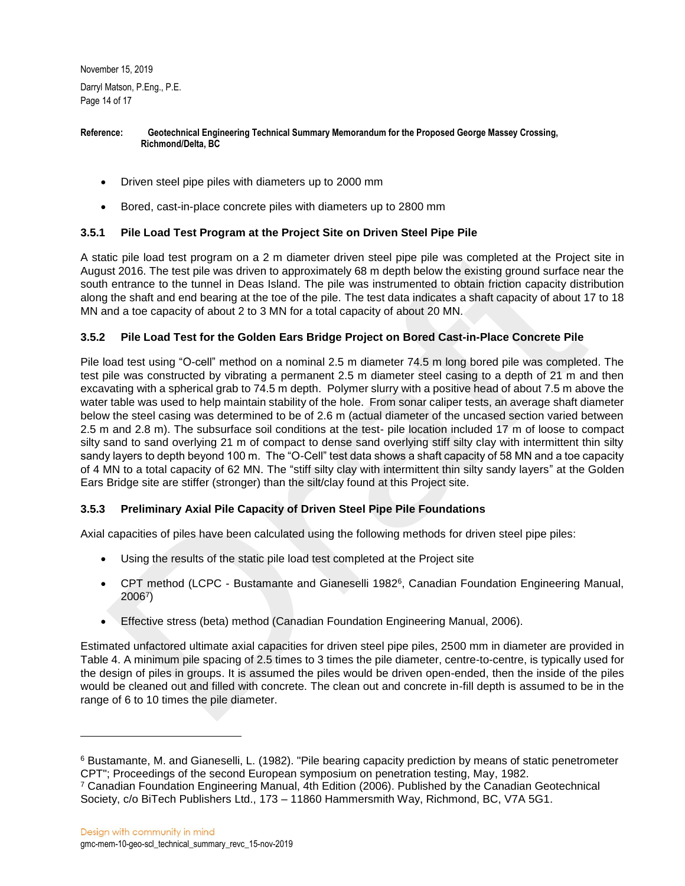November 15, 2019 Darryl Matson, P.Eng., P.E. Page 14 of 17

#### **Reference: Geotechnical Engineering Technical Summary Memorandum for the Proposed George Massey Crossing, Richmond/Delta, BC**

- Driven steel pipe piles with diameters up to 2000 mm
- Bored, cast-in-place concrete piles with diameters up to 2800 mm

#### **3.5.1 Pile Load Test Program at the Project Site on Driven Steel Pipe Pile**

A static pile load test program on a 2 m diameter driven steel pipe pile was completed at the Project site in August 2016. The test pile was driven to approximately 68 m depth below the existing ground surface near the south entrance to the tunnel in Deas Island. The pile was instrumented to obtain friction capacity distribution along the shaft and end bearing at the toe of the pile. The test data indicates a shaft capacity of about 17 to 18 MN and a toe capacity of about 2 to 3 MN for a total capacity of about 20 MN.

#### **3.5.2 Pile Load Test for the Golden Ears Bridge Project on Bored Cast-in-Place Concrete Pile**

Pile load test using "O-cell" method on a nominal 2.5 m diameter 74.5 m long bored pile was completed. The test pile was constructed by vibrating a permanent 2.5 m diameter steel casing to a depth of 21 m and then excavating with a spherical grab to 74.5 m depth. Polymer slurry with a positive head of about 7.5 m above the water table was used to help maintain stability of the hole. From sonar caliper tests, an average shaft diameter below the steel casing was determined to be of 2.6 m (actual diameter of the uncased section varied between 2.5 m and 2.8 m). The subsurface soil conditions at the test- pile location included 17 m of loose to compact silty sand to sand overlying 21 m of compact to dense sand overlying stiff silty clay with intermittent thin silty sandy layers to depth beyond 100 m. The "O-Cell" test data shows a shaft capacity of 58 MN and a toe capacity of 4 MN to a total capacity of 62 MN. The "stiff silty clay with intermittent thin silty sandy layers" at the Golden Ears Bridge site are stiffer (stronger) than the silt/clay found at this Project site.

#### **3.5.3 Preliminary Axial Pile Capacity of Driven Steel Pipe Pile Foundations**

Axial capacities of piles have been calculated using the following methods for driven steel pipe piles:

- Using the results of the static pile load test completed at the Project site
- CPT method (LCPC Bustamante and Gianeselli 1982<sup>6</sup>, Canadian Foundation Engineering Manual, 2006<sup>7</sup> )
- Effective stress (beta) method (Canadian Foundation Engineering Manual, 2006).

Estimated unfactored ultimate axial capacities for driven steel pipe piles, 2500 mm in diameter are provided in Table 4. A minimum pile spacing of 2.5 times to 3 times the pile diameter, centre-to-centre, is typically used for the design of piles in groups. It is assumed the piles would be driven open-ended, then the inside of the piles would be cleaned out and filled with concrete. The clean out and concrete in-fill depth is assumed to be in the range of 6 to 10 times the pile diameter.

l

<sup>6</sup> Bustamante, M. and Gianeselli, L. (1982). "Pile bearing capacity prediction by means of static penetrometer CPT"; Proceedings of the second European symposium on penetration testing, May, 1982.

<sup>7</sup> Canadian Foundation Engineering Manual, 4th Edition (2006). Published by the Canadian Geotechnical Society, c/o BiTech Publishers Ltd., 173 – 11860 Hammersmith Way, Richmond, BC, V7A 5G1.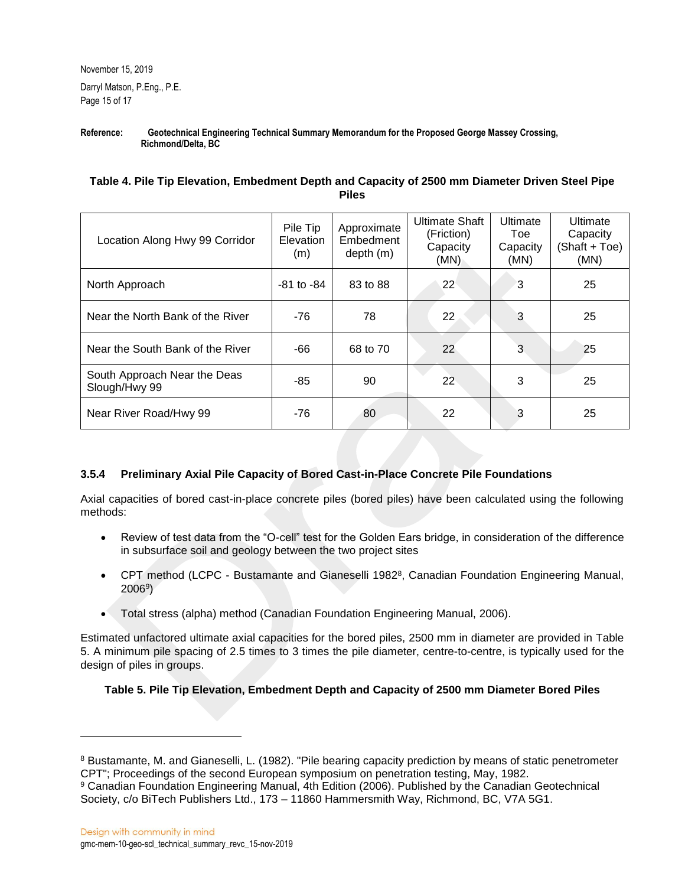November 15, 2019 Darryl Matson, P.Eng., P.E. Page 15 of 17

#### **Reference: Geotechnical Engineering Technical Summary Memorandum for the Proposed George Massey Crossing, Richmond/Delta, BC**

#### **Table 4. Pile Tip Elevation, Embedment Depth and Capacity of 2500 mm Diameter Driven Steel Pipe Piles**

| Location Along Hwy 99 Corridor                | Pile Tip<br>Elevation<br>(m) | Approximate<br>Embedment<br>depth(m) | Ultimate Shaft<br>(Friction)<br>Capacity<br>(MN) | Ultimate<br>Toe<br>Capacity<br>(MN) | Ultimate<br>Capacity<br>(Shaft + Toe)<br>(MN) |
|-----------------------------------------------|------------------------------|--------------------------------------|--------------------------------------------------|-------------------------------------|-----------------------------------------------|
| North Approach                                | $-81$ to $-84$               | 83 to 88                             | 22                                               | 3                                   | 25                                            |
| Near the North Bank of the River              | -76                          | 78                                   | 22                                               | 3                                   | 25                                            |
| Near the South Bank of the River              | -66                          | 68 to 70                             | 22                                               | 3                                   | 25                                            |
| South Approach Near the Deas<br>Slough/Hwy 99 | -85                          | 90                                   | 22                                               | 3                                   | 25                                            |
| Near River Road/Hwy 99                        | -76                          | 80                                   | 22                                               |                                     | 25                                            |

#### **3.5.4 Preliminary Axial Pile Capacity of Bored Cast-in-Place Concrete Pile Foundations**

Axial capacities of bored cast-in-place concrete piles (bored piles) have been calculated using the following methods:

- Review of test data from the "O-cell" test for the Golden Ears bridge, in consideration of the difference in subsurface soil and geology between the two project sites
- CPT method (LCPC Bustamante and Gianeselli 1982<sup>8</sup>, Canadian Foundation Engineering Manual, 2006<sup>9</sup> )
- Total stress (alpha) method (Canadian Foundation Engineering Manual, 2006).

Estimated unfactored ultimate axial capacities for the bored piles, 2500 mm in diameter are provided in Table 5. A minimum pile spacing of 2.5 times to 3 times the pile diameter, centre-to-centre, is typically used for the design of piles in groups.

#### **Table 5. Pile Tip Elevation, Embedment Depth and Capacity of 2500 mm Diameter Bored Piles**

l

<sup>8</sup> Bustamante, M. and Gianeselli, L. (1982). "Pile bearing capacity prediction by means of static penetrometer CPT"; Proceedings of the second European symposium on penetration testing, May, 1982. <sup>9</sup> Canadian Foundation Engineering Manual, 4th Edition (2006). Published by the Canadian Geotechnical Society, c/o BiTech Publishers Ltd., 173 – 11860 Hammersmith Way, Richmond, BC, V7A 5G1.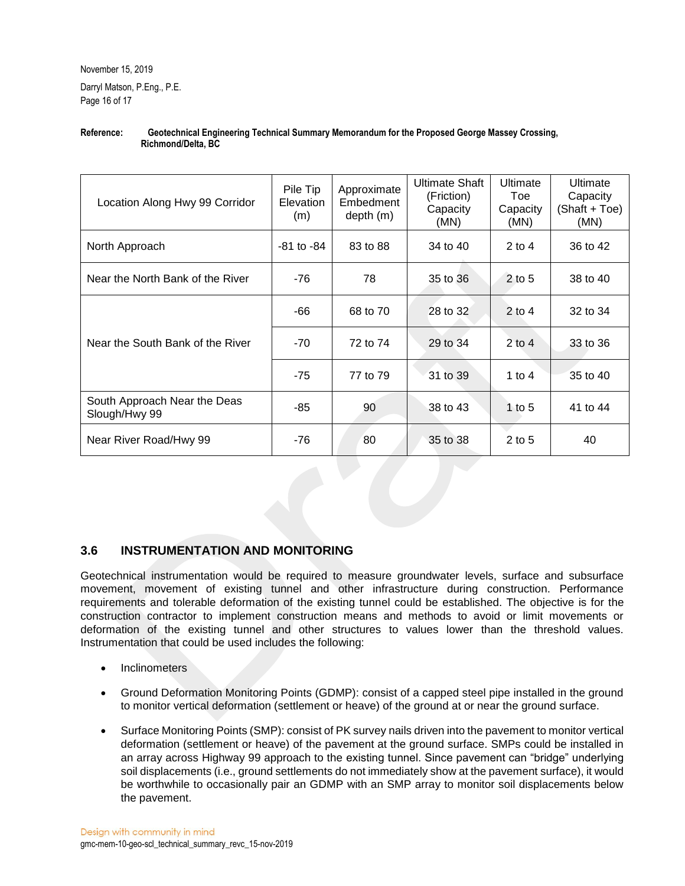November 15, 2019 Darryl Matson, P.Eng., P.E. Page 16 of 17

#### **Reference: Geotechnical Engineering Technical Summary Memorandum for the Proposed George Massey Crossing, Richmond/Delta, BC**

| Location Along Hwy 99 Corridor                | Pile Tip<br>Elevation<br>(m) | Approximate<br>Embedment<br>depth(m) | Ultimate Shaft<br>(Friction)<br>Capacity<br>(MN) | Ultimate<br>Toe<br>Capacity<br>(MN) | Ultimate<br>Capacity<br>(Shaft + Toe)<br>(MN) |
|-----------------------------------------------|------------------------------|--------------------------------------|--------------------------------------------------|-------------------------------------|-----------------------------------------------|
| North Approach                                | $-81$ to $-84$               | 83 to 88                             | 34 to 40                                         | 2 to 4                              | 36 to 42                                      |
| Near the North Bank of the River              | -76                          | 78                                   | 35 to 36                                         | $2$ to 5                            | 38 to 40                                      |
|                                               | -66                          | 68 to 70                             | 28 to 32                                         | $2$ to 4                            | 32 to 34                                      |
| Near the South Bank of the River              | -70                          | 72 to 74                             | 29 to 34                                         | $2$ to 4                            | 33 to 36                                      |
|                                               | -75                          | 77 to 79                             | 31 to 39                                         | 1 to 4                              | 35 to 40                                      |
| South Approach Near the Deas<br>Slough/Hwy 99 | -85                          | 90                                   | 38 to 43                                         | 1 to $5$                            | 41 to 44                                      |
| Near River Road/Hwy 99                        | -76                          | 80                                   | 35 to 38                                         | $2$ to 5                            | 40                                            |

## **3.6 INSTRUMENTATION AND MONITORING**

Geotechnical instrumentation would be required to measure groundwater levels, surface and subsurface movement, movement of existing tunnel and other infrastructure during construction. Performance requirements and tolerable deformation of the existing tunnel could be established. The objective is for the construction contractor to implement construction means and methods to avoid or limit movements or deformation of the existing tunnel and other structures to values lower than the threshold values. Instrumentation that could be used includes the following:

- **Inclinometers**
- Ground Deformation Monitoring Points (GDMP): consist of a capped steel pipe installed in the ground to monitor vertical deformation (settlement or heave) of the ground at or near the ground surface.
- Surface Monitoring Points (SMP): consist of PK survey nails driven into the pavement to monitor vertical deformation (settlement or heave) of the pavement at the ground surface. SMPs could be installed in an array across Highway 99 approach to the existing tunnel. Since pavement can "bridge" underlying soil displacements (i.e., ground settlements do not immediately show at the pavement surface), it would be worthwhile to occasionally pair an GDMP with an SMP array to monitor soil displacements below the pavement.